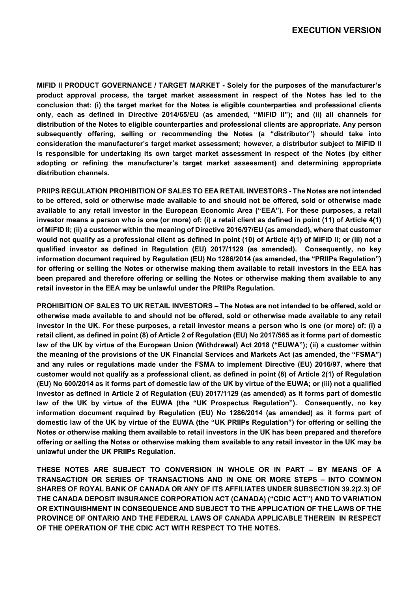**MIFID II PRODUCT GOVERNANCE / TARGET MARKET - Solely for the purposes of the manufacturer's product approval process, the target market assessment in respect of the Notes has led to the conclusion that: (i) the target market for the Notes is eligible counterparties and professional clients only, each as defined in Directive 2014/65/EU (as amended, "MiFID II"); and (ii) all channels for distribution of the Notes to eligible counterparties and professional clients are appropriate. Any person subsequently offering, selling or recommending the Notes (a "distributor") should take into consideration the manufacturer's target market assessment; however, a distributor subject to MiFID II is responsible for undertaking its own target market assessment in respect of the Notes (by either adopting or refining the manufacturer's target market assessment) and determining appropriate distribution channels.** 

**PRIIPS REGULATION PROHIBITION OF SALES TO EEA RETAIL INVESTORS - The Notes are not intended to be offered, sold or otherwise made available to and should not be offered, sold or otherwise made available to any retail investor in the European Economic Area ("EEA"). For these purposes, a retail investor means a person who is one (or more) of: (i) a retail client as defined in point (11) of Article 4(1) of MiFID II; (ii) a customer within the meaning of Directive 2016/97/EU (as amended), where that customer would not qualify as a professional client as defined in point (10) of Article 4(1) of MiFID II; or (iii) not a qualified investor as defined in Regulation (EU) 2017/1129 (as amended). Consequently, no key information document required by Regulation (EU) No 1286/2014 (as amended, the "PRIIPs Regulation") for offering or selling the Notes or otherwise making them available to retail investors in the EEA has been prepared and therefore offering or selling the Notes or otherwise making them available to any retail investor in the EEA may be unlawful under the PRIIPs Regulation.** 

**PROHIBITION OF SALES TO UK RETAIL INVESTORS – The Notes are not intended to be offered, sold or otherwise made available to and should not be offered, sold or otherwise made available to any retail investor in the UK. For these purposes, a retail investor means a person who is one (or more) of: (i) a retail client, as defined in point (8) of Article 2 of Regulation (EU) No 2017/565 as it forms part of domestic law of the UK by virtue of the European Union (Withdrawal) Act 2018 ("EUWA"); (ii) a customer within the meaning of the provisions of the UK Financial Services and Markets Act (as amended, the "FSMA") and any rules or regulations made under the FSMA to implement Directive (EU) 2016/97, where that customer would not qualify as a professional client, as defined in point (8) of Article 2(1) of Regulation (EU) No 600/2014 as it forms part of domestic law of the UK by virtue of the EUWA; or (iii) not a qualified investor as defined in Article 2 of Regulation (EU) 2017/1129 (as amended) as it forms part of domestic law of the UK by virtue of the EUWA (the "UK Prospectus Regulation"). Consequently, no key information document required by Regulation (EU) No 1286/2014 (as amended) as it forms part of domestic law of the UK by virtue of the EUWA (the "UK PRIIPs Regulation") for offering or selling the Notes or otherwise making them available to retail investors in the UK has been prepared and therefore offering or selling the Notes or otherwise making them available to any retail investor in the UK may be unlawful under the UK PRIIPs Regulation.**

**THESE NOTES ARE SUBJECT TO CONVERSION IN WHOLE OR IN PART – BY MEANS OF A TRANSACTION OR SERIES OF TRANSACTIONS AND IN ONE OR MORE STEPS – INTO COMMON SHARES OF ROYAL BANK OF CANADA OR ANY OF ITS AFFILIATES UNDER SUBSECTION 39.2(2.3) OF THE CANADA DEPOSIT INSURANCE CORPORATION ACT (CANADA) ("CDIC ACT") AND TO VARIATION OR EXTINGUISHMENT IN CONSEQUENCE AND SUBJECT TO THE APPLICATION OF THE LAWS OF THE PROVINCE OF ONTARIO AND THE FEDERAL LAWS OF CANADA APPLICABLE THEREIN IN RESPECT OF THE OPERATION OF THE CDIC ACT WITH RESPECT TO THE NOTES.**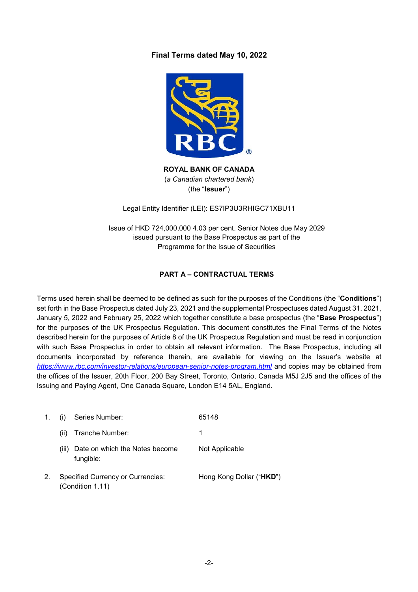# **Final Terms dated May 10, 2022**



**ROYAL BANK OF CANADA**  (*a Canadian chartered bank*) (the "**Issuer**")

Legal Entity Identifier (LEI): ES7IP3U3RHIGC71XBU11

Issue of HKD 724,000,000 4.03 per cent. Senior Notes due May 2029 issued pursuant to the Base Prospectus as part of the Programme for the Issue of Securities

# **PART A – CONTRACTUAL TERMS**

Terms used herein shall be deemed to be defined as such for the purposes of the Conditions (the "**Conditions**") set forth in the Base Prospectus dated July 23, 2021 and the supplemental Prospectuses dated August 31, 2021, January 5, 2022 and February 25, 2022 which together constitute a base prospectus (the "**Base Prospectus**") for the purposes of the UK Prospectus Regulation. This document constitutes the Final Terms of the Notes described herein for the purposes of Article 8 of the UK Prospectus Regulation and must be read in conjunction with such Base Prospectus in order to obtain all relevant information. The Base Prospectus, including all documents incorporated by reference therein, are available for viewing on the Issuer's website at *https://www.rbc.com/investor-relations/european-senior-notes-program.html* and copies may be obtained from the offices of the Issuer, 20th Floor, 200 Bay Street, Toronto, Ontario, Canada M5J 2J5 and the offices of the Issuing and Paying Agent, One Canada Square, London E14 5AL, England.

| 1. |       | Series Number:                                               | 65148                    |
|----|-------|--------------------------------------------------------------|--------------------------|
|    | (ii)  | Tranche Number:                                              | 1                        |
|    | (iii) | Date on which the Notes become<br>fungible:                  | Not Applicable           |
|    |       | <b>Specified Currency or Currencies:</b><br>(Condition 1.11) | Hong Kong Dollar ("HKD") |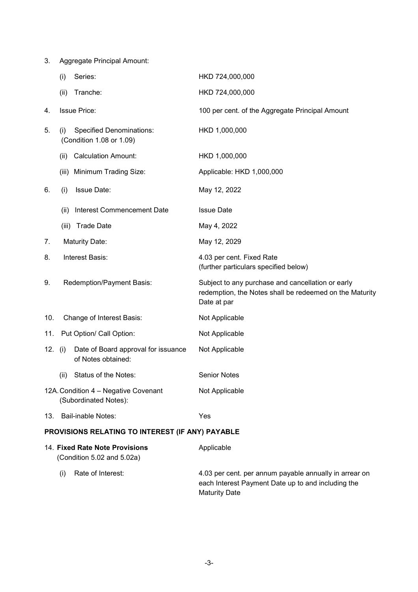|         | Series:<br>(i)                                                     | HKD 724,000,000                                                                                                             |
|---------|--------------------------------------------------------------------|-----------------------------------------------------------------------------------------------------------------------------|
|         | Tranche:<br>(ii)                                                   | HKD 724,000,000                                                                                                             |
| 4.      | <b>Issue Price:</b>                                                | 100 per cent. of the Aggregate Principal Amount                                                                             |
| 5.      | <b>Specified Denominations:</b><br>(i)<br>(Condition 1.08 or 1.09) | HKD 1,000,000                                                                                                               |
|         | <b>Calculation Amount:</b><br>(ii)                                 | HKD 1,000,000                                                                                                               |
|         | (iii) Minimum Trading Size:                                        | Applicable: HKD 1,000,000                                                                                                   |
| 6.      | Issue Date:<br>(i)                                                 | May 12, 2022                                                                                                                |
|         | Interest Commencement Date<br>(ii)                                 | <b>Issue Date</b>                                                                                                           |
|         | (iii) Trade Date                                                   | May 4, 2022                                                                                                                 |
| 7.      | Maturity Date:                                                     | May 12, 2029                                                                                                                |
| 8.      | Interest Basis:                                                    | 4.03 per cent. Fixed Rate<br>(further particulars specified below)                                                          |
| 9.      | Redemption/Payment Basis:                                          | Subject to any purchase and cancellation or early<br>redemption, the Notes shall be redeemed on the Maturity<br>Date at par |
| 10.     | Change of Interest Basis:                                          | Not Applicable                                                                                                              |
| 11.     | Put Option/ Call Option:                                           | Not Applicable                                                                                                              |
| 12. (i) | Date of Board approval for issuance<br>of Notes obtained:          | Not Applicable                                                                                                              |
|         | Status of the Notes:<br>(ii)                                       | <b>Senior Notes</b>                                                                                                         |
|         | 12A. Condition 4 - Negative Covenant<br>(Subordinated Notes):      | Not Applicable                                                                                                              |
| 13.     | <b>Bail-inable Notes:</b>                                          | Yes                                                                                                                         |
|         | PROVISIONS RELATING TO INTEREST (IF ANY) PAYABLE                   |                                                                                                                             |
|         | 14. Fixed Rate Note Provisions<br>(Condition 5.02 and 5.02a)       | Applicable                                                                                                                  |
|         | Rate of Interest:<br>(i)                                           | 4.03 per cent. per annum payable annually in arrear on<br>each Interest Payment Date up to and including the                |

Maturity Date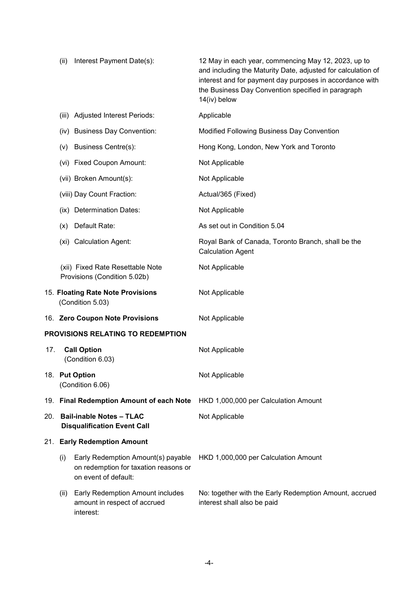|     | (ii)  | Interest Payment Date(s):                                                                           | 12 May in each year, commencing May 12, 2023, up to<br>and including the Maturity Date, adjusted for calculation of<br>interest and for payment day purposes in accordance with<br>the Business Day Convention specified in paragraph<br>14(iv) below |
|-----|-------|-----------------------------------------------------------------------------------------------------|-------------------------------------------------------------------------------------------------------------------------------------------------------------------------------------------------------------------------------------------------------|
|     | (iii) | <b>Adjusted Interest Periods:</b>                                                                   | Applicable                                                                                                                                                                                                                                            |
|     |       | (iv) Business Day Convention:                                                                       | Modified Following Business Day Convention                                                                                                                                                                                                            |
|     | (v)   | <b>Business Centre(s):</b>                                                                          | Hong Kong, London, New York and Toronto                                                                                                                                                                                                               |
|     |       | (vi) Fixed Coupon Amount:                                                                           | Not Applicable                                                                                                                                                                                                                                        |
|     |       | (vii) Broken Amount(s):                                                                             | Not Applicable                                                                                                                                                                                                                                        |
|     |       | (viii) Day Count Fraction:                                                                          | Actual/365 (Fixed)                                                                                                                                                                                                                                    |
|     |       | (ix) Determination Dates:                                                                           | Not Applicable                                                                                                                                                                                                                                        |
|     | (x)   | Default Rate:                                                                                       | As set out in Condition 5.04                                                                                                                                                                                                                          |
|     |       | (xi) Calculation Agent:                                                                             | Royal Bank of Canada, Toronto Branch, shall be the<br><b>Calculation Agent</b>                                                                                                                                                                        |
|     |       | (xii) Fixed Rate Resettable Note<br>Provisions (Condition 5.02b)                                    | Not Applicable                                                                                                                                                                                                                                        |
|     |       | 15. Floating Rate Note Provisions<br>(Condition 5.03)                                               | Not Applicable                                                                                                                                                                                                                                        |
|     |       | 16. Zero Coupon Note Provisions                                                                     | Not Applicable                                                                                                                                                                                                                                        |
|     |       | <b>PROVISIONS RELATING TO REDEMPTION</b>                                                            |                                                                                                                                                                                                                                                       |
| 17. |       | <b>Call Option</b><br>(Condition 6.03)                                                              | Not Applicable                                                                                                                                                                                                                                        |
|     |       | 18. Put Option<br>(Condition 6.06)                                                                  | Not Applicable                                                                                                                                                                                                                                        |
|     |       | 19. Final Redemption Amount of each Note                                                            | HKD 1,000,000 per Calculation Amount                                                                                                                                                                                                                  |
| 20. |       | <b>Bail-inable Notes - TLAC</b><br><b>Disqualification Event Call</b>                               | Not Applicable                                                                                                                                                                                                                                        |
|     |       | 21. Early Redemption Amount                                                                         |                                                                                                                                                                                                                                                       |
|     | (i)   | Early Redemption Amount(s) payable<br>on redemption for taxation reasons or<br>on event of default: | HKD 1,000,000 per Calculation Amount                                                                                                                                                                                                                  |
|     | (ii)  | Early Redemption Amount includes<br>amount in respect of accrued<br>interest:                       | No: together with the Early Redemption Amount, accrued<br>interest shall also be paid                                                                                                                                                                 |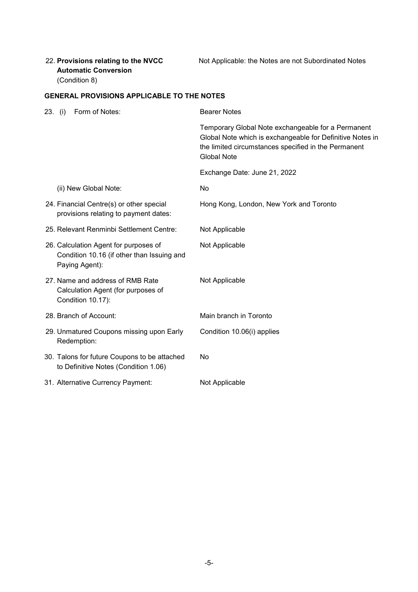# 22. **Provisions relating to the NVCC Automatic Conversion**  (Condition 8)

Not Applicable: the Notes are not Subordinated Notes

## **GENERAL PROVISIONS APPLICABLE TO THE NOTES**

| 23. (i) | Form of Notes:                                                                                        | <b>Bearer Notes</b>                                                                                                                                                                           |
|---------|-------------------------------------------------------------------------------------------------------|-----------------------------------------------------------------------------------------------------------------------------------------------------------------------------------------------|
|         |                                                                                                       | Temporary Global Note exchangeable for a Permanent<br>Global Note which is exchangeable for Definitive Notes in<br>the limited circumstances specified in the Permanent<br><b>Global Note</b> |
|         |                                                                                                       | Exchange Date: June 21, 2022                                                                                                                                                                  |
|         | (ii) New Global Note:                                                                                 | No                                                                                                                                                                                            |
|         | 24. Financial Centre(s) or other special<br>provisions relating to payment dates:                     | Hong Kong, London, New York and Toronto                                                                                                                                                       |
|         | 25. Relevant Renminbi Settlement Centre:                                                              | Not Applicable                                                                                                                                                                                |
|         | 26. Calculation Agent for purposes of<br>Condition 10.16 (if other than Issuing and<br>Paying Agent): | Not Applicable                                                                                                                                                                                |
|         | 27. Name and address of RMB Rate<br>Calculation Agent (for purposes of<br>Condition 10.17):           | Not Applicable                                                                                                                                                                                |
|         | 28. Branch of Account:                                                                                | Main branch in Toronto                                                                                                                                                                        |
|         | 29. Unmatured Coupons missing upon Early<br>Redemption:                                               | Condition 10.06(i) applies                                                                                                                                                                    |
|         | 30. Talons for future Coupons to be attached<br>to Definitive Notes (Condition 1.06)                  | No                                                                                                                                                                                            |
|         | 31. Alternative Currency Payment:                                                                     | Not Applicable                                                                                                                                                                                |
|         |                                                                                                       |                                                                                                                                                                                               |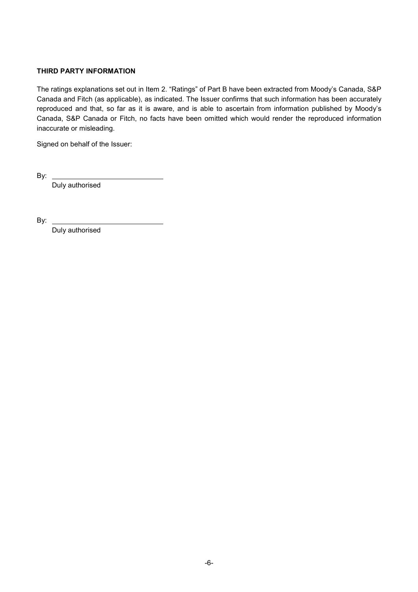## **THIRD PARTY INFORMATION**

The ratings explanations set out in Item 2. "Ratings" of Part B have been extracted from Moody's Canada, S&P Canada and Fitch (as applicable), as indicated. The Issuer confirms that such information has been accurately reproduced and that, so far as it is aware, and is able to ascertain from information published by Moody's Canada, S&P Canada or Fitch, no facts have been omitted which would render the reproduced information inaccurate or misleading.

Signed on behalf of the Issuer:

By:

Duly authorised

By:

Duly authorised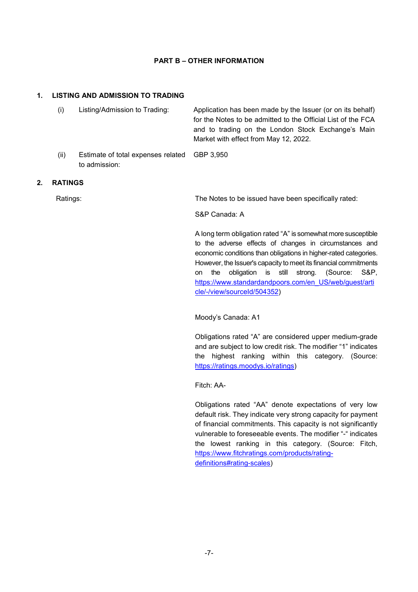## **PART B – OTHER INFORMATION**

#### **1. LISTING AND ADMISSION TO TRADING**

|    | (i)            | Listing/Admission to Trading:                       | Application has been made by the Issuer (or on its behalf)<br>for the Notes to be admitted to the Official List of the FCA<br>and to trading on the London Stock Exchange's Main<br>Market with effect from May 12, 2022.                                                                                                                                                                                               |
|----|----------------|-----------------------------------------------------|-------------------------------------------------------------------------------------------------------------------------------------------------------------------------------------------------------------------------------------------------------------------------------------------------------------------------------------------------------------------------------------------------------------------------|
|    | (ii)           | Estimate of total expenses related<br>to admission: | GBP 3,950                                                                                                                                                                                                                                                                                                                                                                                                               |
| 2. | <b>RATINGS</b> |                                                     |                                                                                                                                                                                                                                                                                                                                                                                                                         |
|    | Ratings:       |                                                     | The Notes to be issued have been specifically rated:                                                                                                                                                                                                                                                                                                                                                                    |
|    |                |                                                     | S&P Canada: A                                                                                                                                                                                                                                                                                                                                                                                                           |
|    |                |                                                     | A long term obligation rated "A" is somewhat more susceptible<br>to the adverse effects of changes in circumstances and<br>economic conditions than obligations in higher-rated categories.<br>However, the Issuer's capacity to meet its financial commitments<br>(Source:<br>S&P.<br>obligation is still strong.<br>the<br>on<br>https://www.standardandpoors.com/en US/web/guest/arti<br>cle/-/view/sourceId/504352) |

Moody's Canada: A1

Obligations rated "A" are considered upper medium-grade and are subject to low credit risk. The modifier "1" indicates the highest ranking within this category. (Source: https://ratings.moodys.io/ratings)

Fitch: AA-

Obligations rated "AA" denote expectations of very low default risk. They indicate very strong capacity for payment of financial commitments. This capacity is not significantly vulnerable to foreseeable events. The modifier "-" indicates the lowest ranking in this category. (Source: Fitch, https://www.fitchratings.com/products/ratingdefinitions#rating-scales)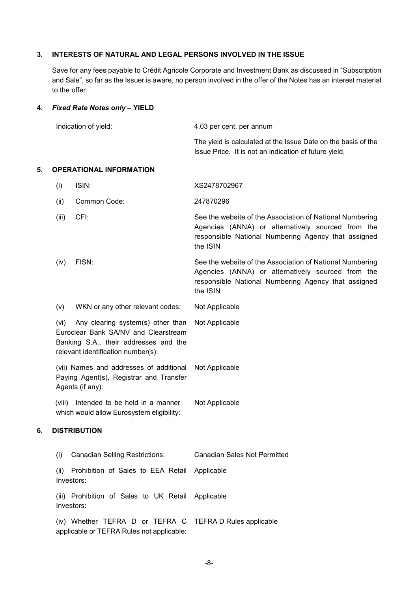#### **3. INTERESTS OF NATURAL AND LEGAL PERSONS INVOLVED IN THE ISSUE**

Save for any fees payable to Crédit Agricole Corporate and Investment Bank as discussed in "Subscription and Sale", so far as the Issuer is aware, no person involved in the offer of the Notes has an interest material to the offer.

#### **4.** *Fixed Rate Notes only* **– YIELD**

| Indication of yield: | 4.03 per cent. per annum                                                                                               |
|----------------------|------------------------------------------------------------------------------------------------------------------------|
|                      | The yield is calculated at the Issue Date on the basis of the<br>Issue Price. It is not an indication of future yield. |

#### **5. OPERATIONAL INFORMATION**

- (i) ISIN: XS2478702967
- (ii) Common Code: 247870296
- (iii) CFI: See the website of the Association of National Numbering Agencies (ANNA) or alternatively sourced from the responsible National Numbering Agency that assigned the ISIN
- (iv) FISN: See the website of the Association of National Numbering Agencies (ANNA) or alternatively sourced from the responsible National Numbering Agency that assigned the ISIN
- (v) WKN or any other relevant codes: Not Applicable

(vi) Any clearing system(s) other than Euroclear Bank SA/NV and Clearstream Banking S.A., their addresses and the relevant identification number(s): Not Applicable

(vii) Names and addresses of additional Paying Agent(s), Registrar and Transfer Agents (if any): Not Applicable

(viii) Intended to be held in a manner which would allow Eurosystem eligibility: Not Applicable

#### **6. DISTRIBUTION**

| <b>Canadian Selling Restrictions:</b><br>(i)                                                          | <b>Canadian Sales Not Permitted</b> |
|-------------------------------------------------------------------------------------------------------|-------------------------------------|
| Prohibition of Sales to EEA Retail Applicable<br>(ii)<br>Investors:                                   |                                     |
| (iii) Prohibition of Sales to UK Retail Applicable<br>Investors:                                      |                                     |
| (iv) Whether TEFRA D or TEFRA C TEFRA D Rules applicable<br>applicable or TEFRA Rules not applicable: |                                     |